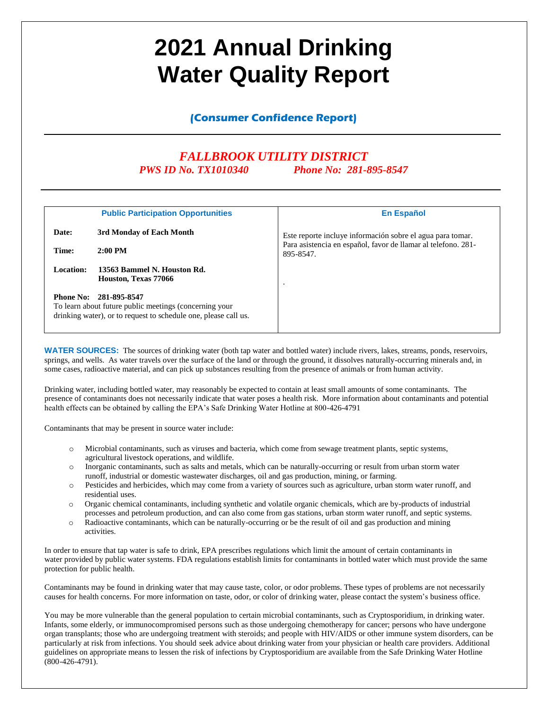# **2021 Annual Drinking Water Quality Report**

**(Consumer Confidence Report)**

# *FALLBROOK UTILITY DISTRICT PWS ID No. TX1010340 Phone No: 281-895-8547*

|                  | <b>Public Participation Opportunities</b>                                                                                                 | <b>En Español</b>                                                          |
|------------------|-------------------------------------------------------------------------------------------------------------------------------------------|----------------------------------------------------------------------------|
| Date:            | 3rd Monday of Each Month                                                                                                                  | Este reporte incluye información sobre el agua para tomar.                 |
| Time:            | $2:00 \text{ PM}$                                                                                                                         | Para asistencia en español, favor de llamar al telefono. 281-<br>895-8547. |
| Location:        | 13563 Bammel N. Houston Rd.<br>Houston, Texas 77066                                                                                       | $\bullet$                                                                  |
| <b>Phone No:</b> | 281-895-8547<br>To learn about future public meetings (concerning your<br>drinking water), or to request to schedule one, please call us. |                                                                            |

**WATER SOURCES:** The sources of drinking water (both tap water and bottled water) include rivers, lakes, streams, ponds, reservoirs, springs, and wells. As water travels over the surface of the land or through the ground, it dissolves naturally-occurring minerals and, in some cases, radioactive material, and can pick up substances resulting from the presence of animals or from human activity.

Drinking water, including bottled water, may reasonably be expected to contain at least small amounts of some contaminants. The presence of contaminants does not necessarily indicate that water poses a health risk. More information about contaminants and potential health effects can be obtained by calling the EPA's Safe Drinking Water Hotline at 800-426-4791

Contaminants that may be present in source water include:

- o Microbial contaminants, such as viruses and bacteria, which come from sewage treatment plants, septic systems, agricultural livestock operations, and wildlife.
- o Inorganic contaminants, such as salts and metals, which can be naturally-occurring or result from urban storm water runoff, industrial or domestic wastewater discharges, oil and gas production, mining, or farming.
- o Pesticides and herbicides, which may come from a variety of sources such as agriculture, urban storm water runoff, and residential uses.
- o Organic chemical contaminants, including synthetic and volatile organic chemicals, which are by-products of industrial processes and petroleum production, and can also come from gas stations, urban storm water runoff, and septic systems.
- o Radioactive contaminants, which can be naturally-occurring or be the result of oil and gas production and mining activities.

In order to ensure that tap water is safe to drink, EPA prescribes regulations which limit the amount of certain contaminants in water provided by public water systems. FDA regulations establish limits for contaminants in bottled water which must provide the same protection for public health.

Contaminants may be found in drinking water that may cause taste, color, or odor problems. These types of problems are not necessarily causes for health concerns. For more information on taste, odor, or color of drinking water, please contact the system's business office.

You may be more vulnerable than the general population to certain microbial contaminants, such as Cryptosporidium, in drinking water. Infants, some elderly, or immunocompromised persons such as those undergoing chemotherapy for cancer; persons who have undergone organ transplants; those who are undergoing treatment with steroids; and people with HIV/AIDS or other immune system disorders, can be particularly at risk from infections. You should seek advice about drinking water from your physician or health care providers. Additional guidelines on appropriate means to lessen the risk of infections by Cryptosporidium are available from the Safe Drinking Water Hotline (800-426-4791).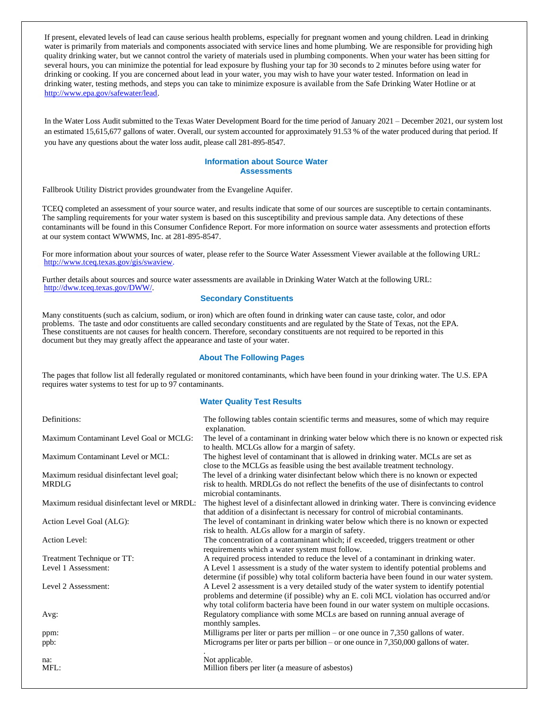If present, elevated levels of lead can cause serious health problems, especially for pregnant women and young children. Lead in drinking water is primarily from materials and components associated with service lines and home plumbing. We are responsible for providing high quality drinking water, but we cannot control the variety of materials used in plumbing components. When your water has been sitting for several hours, you can minimize the potential for lead exposure by flushing your tap for 30 seconds to 2 minutes before using water for drinking or cooking. If you are concerned about lead in your water, you may wish to have your water tested. Information on lead in drinking water, testing methods, and steps you can take to minimize exposure is available from the Safe Drinking Water Hotline or at [http://www.epa.gov/safewater/lead.](http://www.epa.gov/safewater/lead)

In the Water Loss Audit submitted to the Texas Water Development Board for the time period of January 2021 – December 2021, our system lost an estimated 15,615,677 gallons of water. Overall, our system accounted for approximately 91.53 % of the water produced during that period. If you have any questions about the water loss audit, please call 281-895-8547.

### **Information about Source Water Assessments**

Fallbrook Utility District provides groundwater from the Evangeline Aquifer.

TCEQ completed an assessment of your source water, and results indicate that some of our sources are susceptible to certain contaminants. The sampling requirements for your water system is based on this susceptibility and previous sample data. Any detections of these contaminants will be found in this Consumer Confidence Report. For more information on source water assessments and protection efforts at our system contact WWWMS, Inc. at 281-895-8547.

For more information about your sources of water, please refer to the Source Water Assessment Viewer available at the following URL: http://www.tceq.texas.gov/gis/swaview.

Further details about sources and source water assessments are available in Drinking Water Watch at the following URL: [http://dww.tceq.texas.gov/DWW/.](http://dww.tceq.texas.gov/DWW/)

# **Secondary Constituents**

Many constituents (such as calcium, sodium, or iron) which are often found in drinking water can cause taste, color, and odor problems. The taste and odor constituents are called secondary constituents and are regulated by the State of Texas, not the EPA. These constituents are not causes for health concern. Therefore, secondary constituents are not required to be reported in this document but they may greatly affect the appearance and taste of your water.

# **About The Following Pages**

The pages that follow list all federally regulated or monitored contaminants, which have been found in your drinking water. The U.S. EPA requires water systems to test for up to 97 contaminants.

# **Water Quality Test Results**

| Definitions:                                 | The following tables contain scientific terms and measures, some of which may require                                                                                                     |
|----------------------------------------------|-------------------------------------------------------------------------------------------------------------------------------------------------------------------------------------------|
| Maximum Contaminant Level Goal or MCLG:      | explanation.<br>The level of a contaminant in drinking water below which there is no known or expected risk<br>to health. MCLGs allow for a margin of safety.                             |
| Maximum Contaminant Level or MCL:            | The highest level of contaminant that is allowed in drinking water. MCLs are set as<br>close to the MCLGs as feasible using the best available treatment technology.                      |
| Maximum residual disinfectant level goal;    | The level of a drinking water disinfectant below which there is no known or expected                                                                                                      |
| <b>MRDLG</b>                                 | risk to health. MRDLGs do not reflect the benefits of the use of disinfectants to control<br>microbial contaminants.                                                                      |
| Maximum residual disinfectant level or MRDL: | The highest level of a disinfectant allowed in drinking water. There is convincing evidence<br>that addition of a disinfectant is necessary for control of microbial contaminants.        |
| Action Level Goal (ALG):                     | The level of contaminant in drinking water below which there is no known or expected<br>risk to health. ALGs allow for a margin of safety.                                                |
| <b>Action Level:</b>                         | The concentration of a contaminant which; if exceeded, triggers treatment or other<br>requirements which a water system must follow.                                                      |
| Treatment Technique or TT:                   | A required process intended to reduce the level of a contaminant in drinking water.                                                                                                       |
| Level 1 Assessment:                          | A Level 1 assessment is a study of the water system to identify potential problems and<br>determine (if possible) why total coliform bacteria have been found in our water system.        |
| Level 2 Assessment:                          | A Level 2 assessment is a very detailed study of the water system to identify potential<br>problems and determine (if possible) why an E. coli MCL violation has occurred and/or          |
| Avg:                                         | why total coliform bacteria have been found in our water system on multiple occasions.<br>Regulatory compliance with some MCLs are based on running annual average of<br>monthly samples. |
| ppm:                                         | Milligrams per liter or parts per million – or one ounce in $7,350$ gallons of water.                                                                                                     |
| ppb:                                         | Micrograms per liter or parts per billion – or one ounce in $7,350,000$ gallons of water.                                                                                                 |
| na:                                          | Not applicable.                                                                                                                                                                           |
| MFL:                                         | Million fibers per liter (a measure of asbestos)                                                                                                                                          |